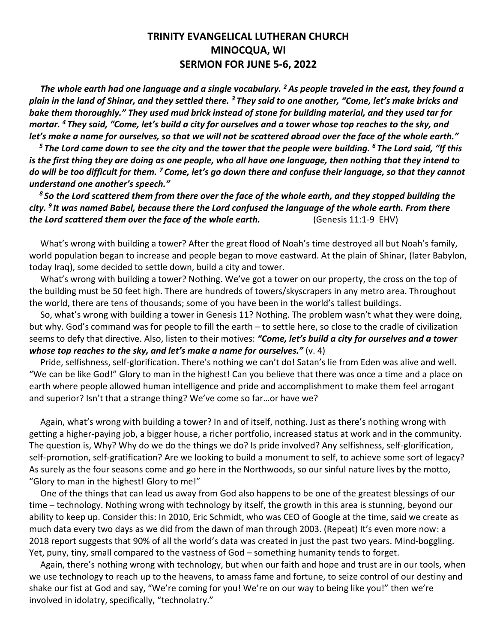## **TRINITY EVANGELICAL LUTHERAN CHURCH MINOCQUA, WI SERMON FOR JUNE 5-6, 2022**

 *The whole earth had one language and a single vocabulary. <sup>2</sup>As people traveled in the east, they found a plain in the land of Shinar, and they settled there. <sup>3</sup> They said to one another, "Come, let's make bricks and bake them thoroughly." They used mud brick instead of stone for building material, and they used tar for mortar. <sup>4</sup> They said, "Come, let's build a city for ourselves and a tower whose top reaches to the sky, and let's make a name for ourselves, so that we will not be scattered abroad over the face of the whole earth."*

*<sup>5</sup> The Lord came down to see the city and the tower that the people were building. <sup>6</sup> The Lord said, "If this is the first thing they are doing as one people, who all have one language, then nothing that they intend to do will be too difficult for them. <sup>7</sup> Come, let's go down there and confuse their language, so that they cannot understand one another's speech."*

*<sup>8</sup> So the Lord scattered them from there over the face of the whole earth, and they stopped building the city. <sup>9</sup> It was named Babel, because there the Lord confused the language of the whole earth. From there the Lord scattered them over the face of the whole earth.* (Genesis 11:1-9 EHV)

 What's wrong with building a tower? After the great flood of Noah's time destroyed all but Noah's family, world population began to increase and people began to move eastward. At the plain of Shinar, (later Babylon, today Iraq), some decided to settle down, build a city and tower.

 What's wrong with building a tower? Nothing. We've got a tower on our property, the cross on the top of the building must be 50 feet high. There are hundreds of towers/skyscrapers in any metro area. Throughout the world, there are tens of thousands; some of you have been in the world's tallest buildings.

 So, what's wrong with building a tower in Genesis 11? Nothing. The problem wasn't what they were doing, but why. God's command was for people to fill the earth – to settle here, so close to the cradle of civilization seems to defy that directive. Also, listen to their motives: *"Come, let's build a city for ourselves and a tower whose top reaches to the sky, and let's make a name for ourselves."* (v. 4)

 Pride, selfishness, self-glorification. There's nothing we can't do! Satan's lie from Eden was alive and well. "We can be like God!" Glory to man in the highest! Can you believe that there was once a time and a place on earth where people allowed human intelligence and pride and accomplishment to make them feel arrogant and superior? Isn't that a strange thing? We've come so far…or have we?

 Again, what's wrong with building a tower? In and of itself, nothing. Just as there's nothing wrong with getting a higher-paying job, a bigger house, a richer portfolio, increased status at work and in the community. The question is, Why? Why do we do the things we do? Is pride involved? Any selfishness, self-glorification, self-promotion, self-gratification? Are we looking to build a monument to self, to achieve some sort of legacy? As surely as the four seasons come and go here in the Northwoods, so our sinful nature lives by the motto, "Glory to man in the highest! Glory to me!"

 One of the things that can lead us away from God also happens to be one of the greatest blessings of our time – technology. Nothing wrong with technology by itself, the growth in this area is stunning, beyond our ability to keep up. Consider this: In 2010, Eric Schmidt, who was CEO of Google at the time, said we create as much data every two days as we did from the dawn of man through 2003. (Repeat) It's even more now: a 2018 report suggests that 90% of all the world's data was created in just the past two years. Mind-boggling. Yet, puny, tiny, small compared to the vastness of God – something humanity tends to forget.

 Again, there's nothing wrong with technology, but when our faith and hope and trust are in our tools, when we use technology to reach up to the heavens, to amass fame and fortune, to seize control of our destiny and shake our fist at God and say, "We're coming for you! We're on our way to being like you!" then we're involved in idolatry, specifically, "technolatry."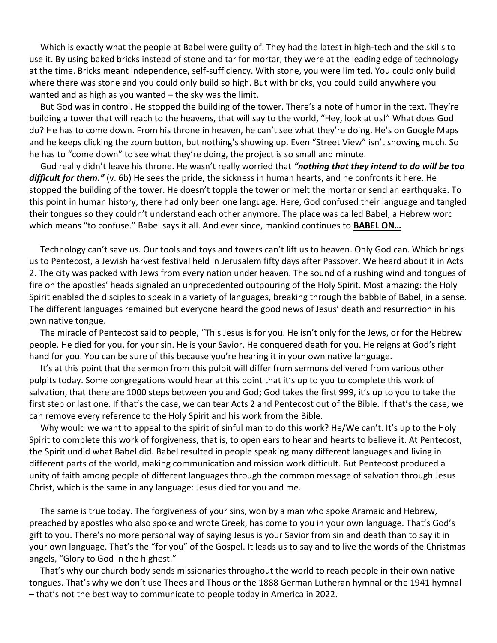Which is exactly what the people at Babel were guilty of. They had the latest in high-tech and the skills to use it. By using baked bricks instead of stone and tar for mortar, they were at the leading edge of technology at the time. Bricks meant independence, self-sufficiency. With stone, you were limited. You could only build where there was stone and you could only build so high. But with bricks, you could build anywhere you wanted and as high as you wanted – the sky was the limit.

 But God was in control. He stopped the building of the tower. There's a note of humor in the text. They're building a tower that will reach to the heavens, that will say to the world, "Hey, look at us!" What does God do? He has to come down. From his throne in heaven, he can't see what they're doing. He's on Google Maps and he keeps clicking the zoom button, but nothing's showing up. Even "Street View" isn't showing much. So he has to "come down" to see what they're doing, the project is so small and minute.

 God really didn't leave his throne. He wasn't really worried that *"nothing that they intend to do will be too*  difficult for them." (v. 6b) He sees the pride, the sickness in human hearts, and he confronts it here. He stopped the building of the tower. He doesn't topple the tower or melt the mortar or send an earthquake. To this point in human history, there had only been one language. Here, God confused their language and tangled their tongues so they couldn't understand each other anymore. The place was called Babel, a Hebrew word which means "to confuse." Babel says it all. And ever since, mankind continues to **BABEL ON…**

 Technology can't save us. Our tools and toys and towers can't lift us to heaven. Only God can. Which brings us to Pentecost, a Jewish harvest festival held in Jerusalem fifty days after Passover. We heard about it in Acts 2. The city was packed with Jews from every nation under heaven. The sound of a rushing wind and tongues of fire on the apostles' heads signaled an unprecedented outpouring of the Holy Spirit. Most amazing: the Holy Spirit enabled the disciples to speak in a variety of languages, breaking through the babble of Babel, in a sense. The different languages remained but everyone heard the good news of Jesus' death and resurrection in his own native tongue.

 The miracle of Pentecost said to people, "This Jesus is for you. He isn't only for the Jews, or for the Hebrew people. He died for you, for your sin. He is your Savior. He conquered death for you. He reigns at God's right hand for you. You can be sure of this because you're hearing it in your own native language.

 It's at this point that the sermon from this pulpit will differ from sermons delivered from various other pulpits today. Some congregations would hear at this point that it's up to you to complete this work of salvation, that there are 1000 steps between you and God; God takes the first 999, it's up to you to take the first step or last one. If that's the case, we can tear Acts 2 and Pentecost out of the Bible. If that's the case, we can remove every reference to the Holy Spirit and his work from the Bible.

 Why would we want to appeal to the spirit of sinful man to do this work? He/We can't. It's up to the Holy Spirit to complete this work of forgiveness, that is, to open ears to hear and hearts to believe it. At Pentecost, the Spirit undid what Babel did. Babel resulted in people speaking many different languages and living in different parts of the world, making communication and mission work difficult. But Pentecost produced a unity of faith among people of different languages through the common message of salvation through Jesus Christ, which is the same in any language: Jesus died for you and me.

 The same is true today. The forgiveness of your sins, won by a man who spoke Aramaic and Hebrew, preached by apostles who also spoke and wrote Greek, has come to you in your own language. That's God's gift to you. There's no more personal way of saying Jesus is your Savior from sin and death than to say it in your own language. That's the "for you" of the Gospel. It leads us to say and to live the words of the Christmas angels, "Glory to God in the highest."

 That's why our church body sends missionaries throughout the world to reach people in their own native tongues. That's why we don't use Thees and Thous or the 1888 German Lutheran hymnal or the 1941 hymnal – that's not the best way to communicate to people today in America in 2022.